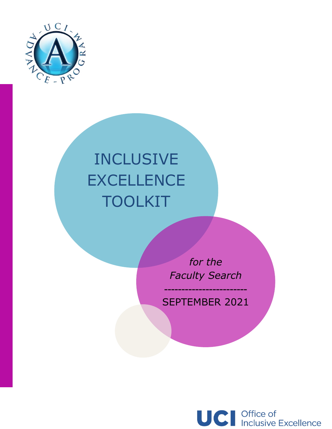

L

# INCLUSIVE **EXCELLENCE** TOOLKIT

*for the Faculty Search*

SEPTEMBER 2021

------------------------

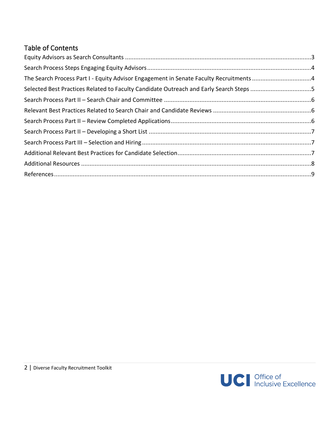# Table of Contents

| The Search Process Part I - Equity Advisor Engagement in Senate Faculty Recruitments 4 |  |
|----------------------------------------------------------------------------------------|--|
| Selected Best Practices Related to Faculty Candidate Outreach and Early Search Steps 5 |  |
|                                                                                        |  |
|                                                                                        |  |
|                                                                                        |  |
|                                                                                        |  |
|                                                                                        |  |
|                                                                                        |  |
|                                                                                        |  |
|                                                                                        |  |

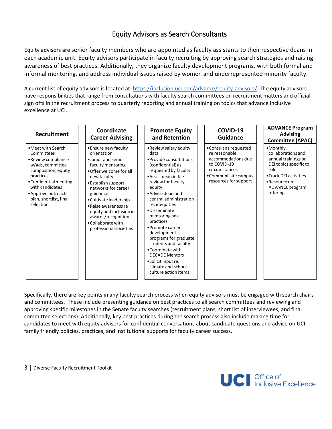# Equity Advisors as Search Consultants

<span id="page-2-0"></span>Equity advisors are senior faculty members who are appointed as faculty assistants to their respective deans in each academic unit. Equity advisors participate in faculty recruiting by approving search strategies and raising awareness of best practices. Additionally, they organize faculty development programs, with both formal and informal mentoring, and address individual issues raised by women and underrepresented minority faculty.

A current list of equity advisors is located at: [https://inclusion.uci.edu/advance/equity-advisors/.](https://inclusion.uci.edu/advance/equity-advisors/) The equity advisors have responsibilities that range from consultations with faculty search committees on recruitment matters and official sign offs in the recruitment process to quarterly reporting and annual training on topics that advance inclusive excellence at UCI.

| Recruitment                                                                                                                                                                                                             | Coordinate<br><b>Career Advising</b>                                                                                                                                                                                                                                                                                              | <b>Promote Equity</b><br>and Retention                                                                                                                                                                                                                                                                                                                                                                                                                                              | COVID-19<br><b>Guidance</b>                                                                                                                  | <b>ADVANCE Program</b><br><b>Advising</b><br><b>Committee (APAC)</b>                                                                                             |
|-------------------------------------------------------------------------------------------------------------------------------------------------------------------------------------------------------------------------|-----------------------------------------------------------------------------------------------------------------------------------------------------------------------------------------------------------------------------------------------------------------------------------------------------------------------------------|-------------------------------------------------------------------------------------------------------------------------------------------------------------------------------------------------------------------------------------------------------------------------------------------------------------------------------------------------------------------------------------------------------------------------------------------------------------------------------------|----------------------------------------------------------------------------------------------------------------------------------------------|------------------------------------------------------------------------------------------------------------------------------------------------------------------|
| • Meet with Search<br>Committees<br>• Review compliance<br>w/ads, committee<br>composition, equity<br>practices<br>•Confidential meeting<br>with candidates<br>•Approve outreach<br>plan, shortlist, final<br>selection | • Ensure new faculty<br>orientation<br>.Junior and senior<br>faculty mentoring<br>•Offer welcome for all<br>new faculty<br>•Establish support<br>networks for career<br>guidance<br>•Cultivate leadership<br>• Raise awareness re<br>equity and inclusion in<br>awards/recognition<br>•Collaborate with<br>professional societies | • Review salary equity<br>data<br>• Provide consultations<br>(confidential) as<br>requested by faculty<br>• Assist dean in file<br>review for faculty<br>equity<br>• Advise dean and<br>central administration<br>re: inequities<br>·Disseminate<br>mentoring best<br>practices<br>•Promote career<br>development<br>programs for graduate<br>students and faculty<br>•Coordinate with<br><b>DECADE Mentors</b><br>•Solicit input re:<br>climate and school<br>culture action items | •Consult as requested<br>re reasonable<br>accommodations due<br>to COVID-19<br>circumstances<br>•Communicate campus<br>resources for support | •Monthly<br>collaborations and<br>annual trainings on<br>DEI topics specific to<br>role<br>.Track DEI activities<br>•Resource on<br>ADVANCE program<br>offerings |

Specifically, there are key points in any faculty search process when equity advisors must be engaged with search chairs and committees. These include presenting guidance on best practices to all search committees and reviewing and approving specific milestones in the Senate faculty searches (recruitment plans, short list of interviewees, and final committee selections). Additionally, key best practices during the search process also include making time for candidates to meet with equity advisors for confidential conversations about candidate questions and advice on UCI family friendly policies, practices, and institutional supports for faculty career success.

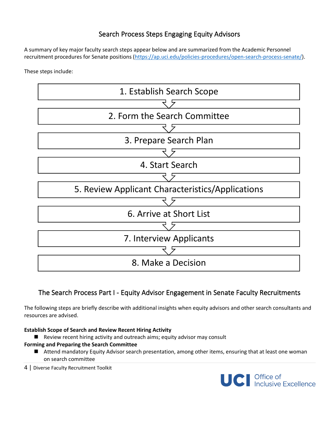# Search Process Steps Engaging Equity Advisors

<span id="page-3-0"></span>A summary of key major faculty search steps appear below and are summarized from the Academic Personnel recruitment procedures for Senate positions [\(https://ap.uci.edu/policies-procedures/open-search-process-senate/\)](https://ap.uci.edu/policies-procedures/open-search-process-senate/).

These steps include:



# <span id="page-3-1"></span>The Search Process Part I - Equity Advisor Engagement in Senate Faculty Recruitments

The following steps are briefly describe with additional insights when equity advisors and other search consultants and resources are advised.

#### **Establish Scope of Search and Review Recent Hiring Activity**

■ Review recent hiring activity and outreach aims; equity advisor may consult

#### **Forming and Preparing the Search Committee**

- Attend mandatory Equity Advisor search presentation, among other items, ensuring that at least one woman on search committee
- 4 | Diverse Faculty Recruitment Toolkit

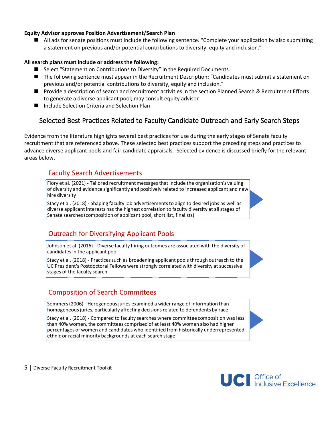#### **Equity Advisor approves Position Advertisement/Search Plan**

■ All ads for senate positions must include the following sentence. "Complete your application by also submitting a statement on previous and/or potential contributions to diversity, equity and inclusion."

#### **All search plans must include or address the following:**

- Select "Statement on Contributions to Diversity" in the Required Documents.
- The following sentence must appear in the Recruitment Description: "Candidates must submit a statement on previous and/or potential contributions to diversity, equity and inclusion."
- Provide a description of search and recruitment activities in the section Planned Search & Recruitment Efforts to generate a diverse applicant pool; may consult equity advisor
- <span id="page-4-0"></span>■ Include Selection Criteria and Selection Plan

# Selected Best Practices Related to Faculty Candidate Outreach and Early Search Steps

Evidence from the literature highlights several best practices for use during the early stages of Senate faculty recruitment that are referenced above. These selected best practices support the preceding steps and practices to advance diverse applicant pools and fair candidate appraisals. Selected evidence is discussed briefly for the relevant areas below.

#### Faculty Search Advertisements

Flory et al. (2021) - Tailored recruitment messages that include the organization's valuing of diversity and evidence significantly and positively related to increased applicant and new hire diversity

Stacy et al. (2018) - Shaping faculty job advertisements to align to desired jobs as well as diverse applicant interests has the highest correlation to faculty diversity at all stages of Senate searches (composition of applicant pool, short list, finalists)

### Outreach for Diversifying Applicant Pools

Johnson et al. (2016) - Diverse faculty hiring outcomes are associated with the diversity of candidates in the applicant pool

Stacy et al. (2018) - Practices such as broadening applicant pools through outreach to the UC President's Postdoctoral Fellows were strongly correlated with diversity at successive stages of the faculty search

### Composition of Search Committees

Sommers (2006) - Herogeneous juries examined a wider range of information than homogeneous juries, particularly affecting decisions related to defendents by race

Stacy et al. (2018) - Compared to faculty searches where committee composition was less than 40% women, the committees comprised of at least 40% women also had higher percentages of women and candidates who identified from historically underrepresented ethnic or racial minority backgrounds at each search stage

5 | Diverse Faculty Recruitment Toolkit

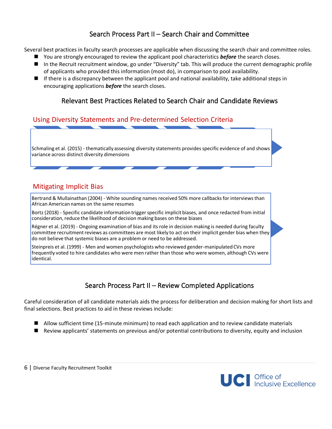# Search Process Part II – Search Chair and Committee

<span id="page-5-0"></span>Several best practices in faculty search processes are applicable when discussing the search chair and committee roles.

- You are strongly encouraged to review the applicant pool characteristics **before** the search closes.
- In the Recruit recruitment window, go under "Diversity" tab. This will produce the current demographic profile of applicants who provided this information (most do), in comparison to pool availability.
- <span id="page-5-1"></span> $\blacksquare$  If there is a discrepancy between the applicant pool and national availability, take additional steps in encouraging applications *before* the search closes.

## Relevant Best Practices Related to Search Chair and Candidate Reviews

#### Using Diversity Statements and Pre-determined Selection Criteria

Schmaling et al. (2015) - thematically assessing diversity statements provides specific evidence of and shows variance across distinct diversity dimensions

### Mitigating Implicit Bias

Bertrand & Mullainathan (2004) - White sounding names received 50% more callbacks for interviews than African American names on the same resumes

Bortz (2018) - Specific candidate information trigger specific implicit biases, and once redacted from initial consideration, reduce the likelihood of decision making bases on these biases

Régner et al. (2019) - Ongoing examination of bias and its role in decision making is needed during faculty committee recruitment reviews as committees are most likely to act on their implicit gender bias when they do not believe that systemic biases are a problem or need to be addressed.

Steinpreis et al. (1999) - Men and women psychologists who reviewed gender-manipulated CVs more frequently voted to hire candidates who were men rather than those who were women, although CVs were identical.

# Search Process Part II – Review Completed Applications

<span id="page-5-2"></span>Careful consideration of all candidate materials aids the process for deliberation and decision making for short lists and final selections. Best practices to aid in these reviews include:

- Allow sufficient time (15-minute minimum) to read each application and to review candidate materials
- Review applicants' statements on previous and/or potential contributions to diversity, equity and inclusion

6 | Diverse Faculty Recruitment Toolkit

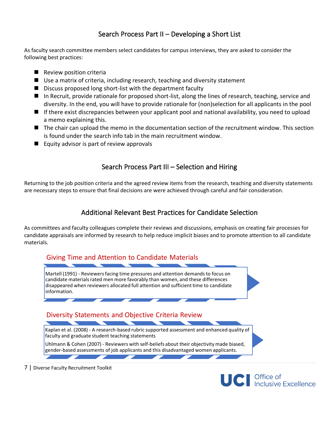# Search Process Part II – Developing a Short List

<span id="page-6-0"></span>As faculty search committee members select candidates for campus interviews, they are asked to consider the following best practices:

- Review position criteria
- Use a matrix of criteria, including research, teaching and diversity statement
- Discuss proposed long short-list with the department faculty
- In Recruit, provide rationale for proposed short-list, along the lines of research, teaching, service and diversity. In the end, you will have to provide rationale for (non)selection for all applicants in the pool
- If there exist discrepancies between your applicant pool and national availability, you need to upload a memo explaining this.
- The chair can upload the memo in the documentation section of the recruitment window. This section is found under the search info tab in the main recruitment window.
- <span id="page-6-1"></span>■ Equity advisor is part of review approvals

# Search Process Part III – Selection and Hiring

<span id="page-6-2"></span>Returning to the job position criteria and the agreed review items from the research, teaching and diversity statements are necessary steps to ensure that final decisions are were achieved through careful and fair consideration.

## Additional Relevant Best Practices for Candidate Selection

As committees and faculty colleagues complete their reviews and discussions, emphasis on creating fair processes for candidate appraisals are informed by research to help reduce implicit biases and to promote attention to all candidate materials.



7 | Diverse Faculty Recruitment Toolkit

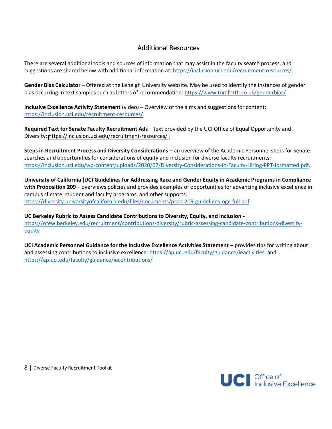## Additional Resources

<span id="page-7-0"></span>There are several additional tools and sources of information that may assist in the faculty search process, and suggestions are shared below with additional information at: [https://inclusion.uci.edu/recruitment-resources/.](https://inclusion.uci.edu/recruitment-resources/)

**Gender Bias Calculator** – Offered at the Leheigh University website. May be used to identify the instances of gender bias occurring in text samples such as letters of recommendation: <https://www.tomforth.co.uk/genderbias/>

**Inclusive Excellence Activity Statement** (video) – Overview of the aims and suggestions for content: <https://inclusion.uci.edu/recruitment-resources/>

**Required Text for Senate Faculty Recruitment Ads** – text provided by the UCI Office of Equal Opportunity and Diversity: <https://inclusion.uci.edu/recruitment-resources/>

**Steps in Recruitment Process and Diversity Considerations** – an overview of the Academic Personnel steps for Senate searches and opportunities for considerations of equity and inclusion for diverse faculty recruitments: [https://inclusion.uci.edu/wp-content/uploads/2020/07/Diversity-Considerations-in-Faculty-Hiring-PPT-formatted.pdf.](https://inclusion.uci.edu/wp-content/uploads/2020/07/Diversity-Considerations-in-Faculty-Hiring-PPT-formatted.pdf)

**University of California (UC) Guidelines for Addressing Race and Gender Equity in Academic Programs in Compliance with Proposition 209 –** overviews policies and provides examples of opportunities for advancing inclusive excellence in campus climate, student and faculty programs, and other supports: <https://diversity.universityofcalifornia.edu/files/documents/prop-209-guidelines-ogc-full.pdf>

**UC Berkeley Rubric to Assess Candidate Contributions to Diversity, Equity, and Inclusion**  [https://ofew.berkeley.edu/recruitment/contributions-diversity/rubric-assessing-candidate-contributions-diversity](https://ofew.berkeley.edu/recruitment/contributions-diversity/rubric-assessing-candidate-contributions-diversity-equity)[equity](https://ofew.berkeley.edu/recruitment/contributions-diversity/rubric-assessing-candidate-contributions-diversity-equity)

**UCI Academic Personnel Guidance for the Inclusive Excellence Activities Statement** – provides tips for writing about and assessing contributions to inclusive excellence: [https://ap.uci.edu/faculty/guidance/ieactivities](https://ap.uci.edu/faculty/guidance/ieactivities/) and <https://ap.uci.edu/faculty/guidance/iecontributions/>